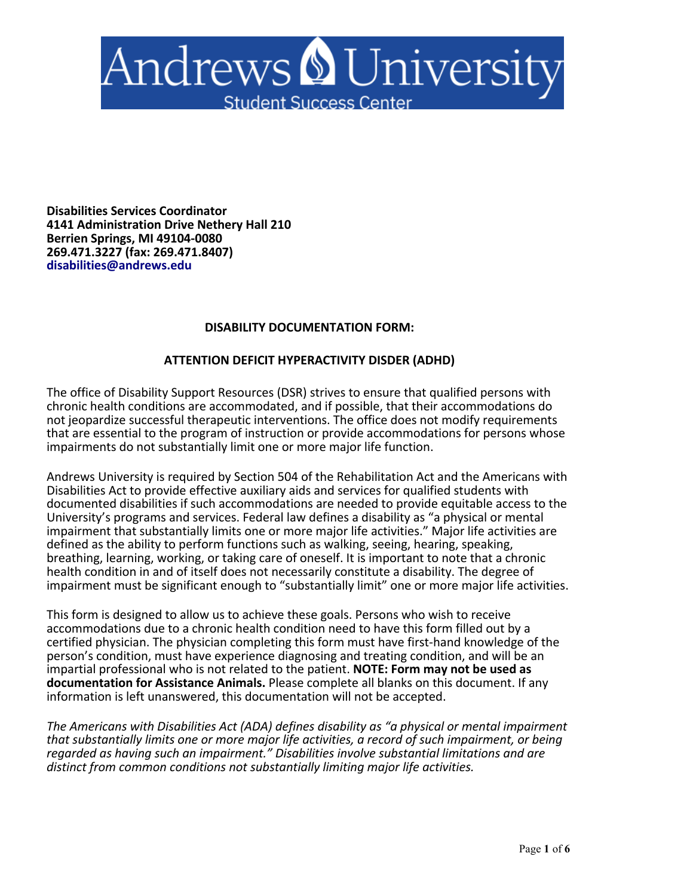

**Disabilities Services Coordinator 4141 Administration Drive Nethery Hall 210 Berrien Springs, MI 49104-0080 269.471.3227 (fax: 269.471.8407) disabilities@andrews.edu** 

## **DISABILITY DOCUMENTATION FORM:**

## **ATTENTION DEFICIT HYPERACTIVITY DISDER (ADHD)**

The office of Disability Support Resources (DSR) strives to ensure that qualified persons with chronic health conditions are accommodated, and if possible, that their accommodations do not jeopardize successful therapeutic interventions. The office does not modify requirements that are essential to the program of instruction or provide accommodations for persons whose impairments do not substantially limit one or more major life function.

Andrews University is required by Section 504 of the Rehabilitation Act and the Americans with Disabilities Act to provide effective auxiliary aids and services for qualified students with documented disabilities if such accommodations are needed to provide equitable access to the University's programs and services. Federal law defines a disability as "a physical or mental impairment that substantially limits one or more major life activities." Major life activities are defined as the ability to perform functions such as walking, seeing, hearing, speaking, breathing, learning, working, or taking care of oneself. It is important to note that a chronic health condition in and of itself does not necessarily constitute a disability. The degree of impairment must be significant enough to "substantially limit" one or more major life activities.

This form is designed to allow us to achieve these goals. Persons who wish to receive accommodations due to a chronic health condition need to have this form filled out by a certified physician. The physician completing this form must have first-hand knowledge of the person's condition, must have experience diagnosing and treating condition, and will be an impartial professional who is not related to the patient. **NOTE: Form may not be used as documentation for Assistance Animals.** Please complete all blanks on this document. If any information is left unanswered, this documentation will not be accepted.

*The Americans with Disabilities Act (ADA) defines disability as "a physical or mental impairment that substantially limits one or more major life activities, a record of such impairment, or being regarded as having such an impairment." Disabilities involve substantial limitations and are distinct from common conditions not substantially limiting major life activities.*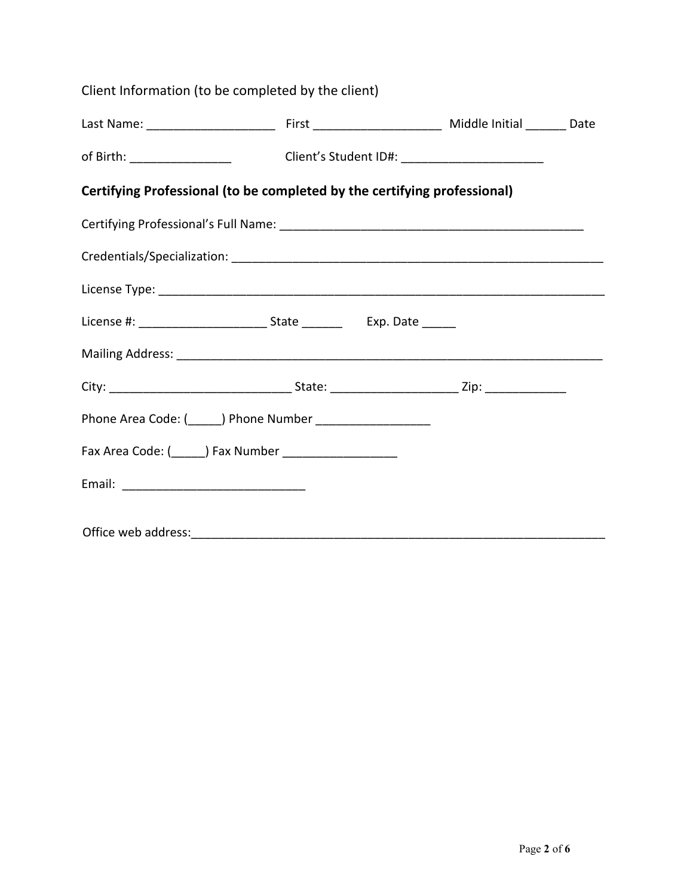| Client Information (to be completed by the client)                                      |  |  |  |  |  |  |
|-----------------------------------------------------------------------------------------|--|--|--|--|--|--|
|                                                                                         |  |  |  |  |  |  |
| of Birth: ______________________________Client's Student ID#: _________________________ |  |  |  |  |  |  |
| Certifying Professional (to be completed by the certifying professional)                |  |  |  |  |  |  |
|                                                                                         |  |  |  |  |  |  |
|                                                                                         |  |  |  |  |  |  |
|                                                                                         |  |  |  |  |  |  |
|                                                                                         |  |  |  |  |  |  |
|                                                                                         |  |  |  |  |  |  |
|                                                                                         |  |  |  |  |  |  |
|                                                                                         |  |  |  |  |  |  |
| Fax Area Code: (______) Fax Number _____________________                                |  |  |  |  |  |  |
|                                                                                         |  |  |  |  |  |  |
|                                                                                         |  |  |  |  |  |  |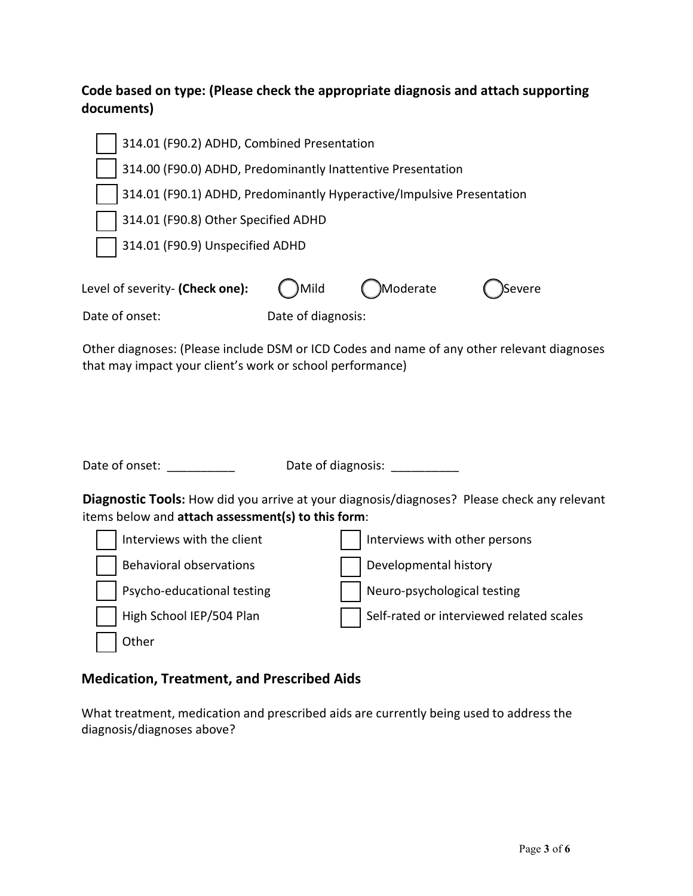## **Code based on type: (Please check the appropriate diagnosis and attach supporting documents)**

| 314.01 (F90.2) ADHD, Combined Presentation                            |                    |           |        |  |  |
|-----------------------------------------------------------------------|--------------------|-----------|--------|--|--|
| 314.00 (F90.0) ADHD, Predominantly Inattentive Presentation           |                    |           |        |  |  |
| 314.01 (F90.1) ADHD, Predominantly Hyperactive/Impulsive Presentation |                    |           |        |  |  |
| 314.01 (F90.8) Other Specified ADHD                                   |                    |           |        |  |  |
| 314.01 (F90.9) Unspecified ADHD                                       |                    |           |        |  |  |
| Level of severity- (Check one):                                       | Mild               | Moderate) | Severe |  |  |
| Date of onset:                                                        | Date of diagnosis: |           |        |  |  |

Other diagnoses: (Please include DSM or ICD Codes and name of any other relevant diagnoses that may impact your client's work or school performance)

| Date of onset:                                                                                                                                           | Date of diagnosis:                       |  |  |  |
|----------------------------------------------------------------------------------------------------------------------------------------------------------|------------------------------------------|--|--|--|
| <b>Diagnostic Tools:</b> How did you arrive at your diagnosis/diagnoses? Please check any relevant<br>items below and attach assessment(s) to this form: |                                          |  |  |  |
| Interviews with the client                                                                                                                               | Interviews with other persons            |  |  |  |
| <b>Behavioral observations</b>                                                                                                                           | Developmental history                    |  |  |  |
| Psycho-educational testing                                                                                                                               | Neuro-psychological testing              |  |  |  |
| High School IEP/504 Plan                                                                                                                                 | Self-rated or interviewed related scales |  |  |  |
| Other                                                                                                                                                    |                                          |  |  |  |

## **Medication, Treatment, and Prescribed Aids**

What treatment, medication and prescribed aids are currently being used to address the diagnosis/diagnoses above?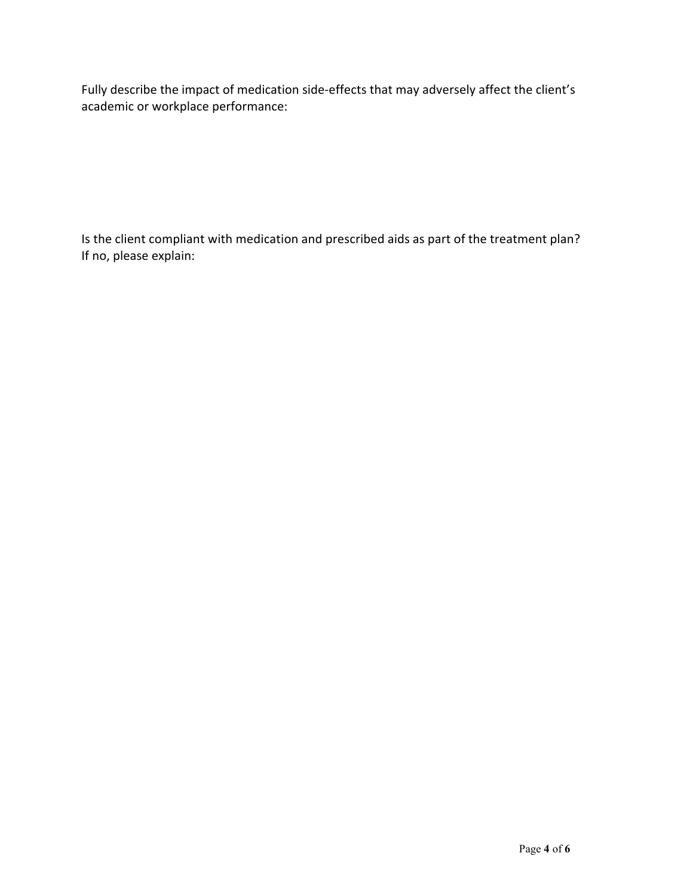Fully describe the impact of medication side-effects that may adversely affect the client's academic or workplace performance:

Is the client compliant with medication and prescribed aids as part of the treatment plan? If no, please explain: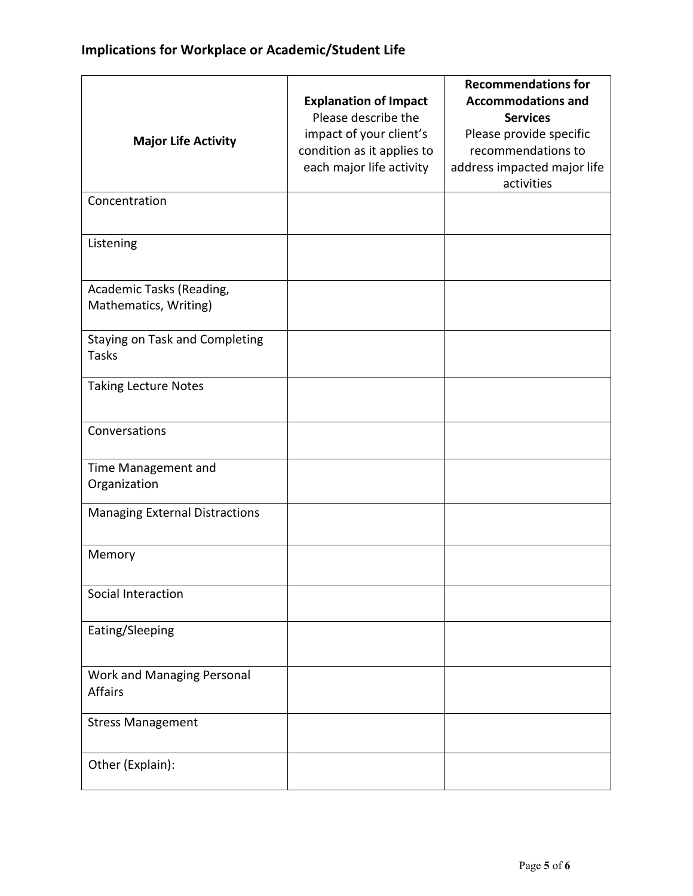|                                       |                              | <b>Recommendations for</b>                |
|---------------------------------------|------------------------------|-------------------------------------------|
|                                       | <b>Explanation of Impact</b> | <b>Accommodations and</b>                 |
|                                       | Please describe the          | <b>Services</b>                           |
| <b>Major Life Activity</b>            | impact of your client's      | Please provide specific                   |
|                                       | condition as it applies to   | recommendations to                        |
|                                       | each major life activity     | address impacted major life<br>activities |
| Concentration                         |                              |                                           |
|                                       |                              |                                           |
| Listening                             |                              |                                           |
| Academic Tasks (Reading,              |                              |                                           |
| Mathematics, Writing)                 |                              |                                           |
| Staying on Task and Completing        |                              |                                           |
| <b>Tasks</b>                          |                              |                                           |
| <b>Taking Lecture Notes</b>           |                              |                                           |
| Conversations                         |                              |                                           |
| Time Management and                   |                              |                                           |
| Organization                          |                              |                                           |
| <b>Managing External Distractions</b> |                              |                                           |
| Memory                                |                              |                                           |
| Social Interaction                    |                              |                                           |
| Eating/Sleeping                       |                              |                                           |
| Work and Managing Personal            |                              |                                           |
| <b>Affairs</b>                        |                              |                                           |
| <b>Stress Management</b>              |                              |                                           |
| Other (Explain):                      |                              |                                           |